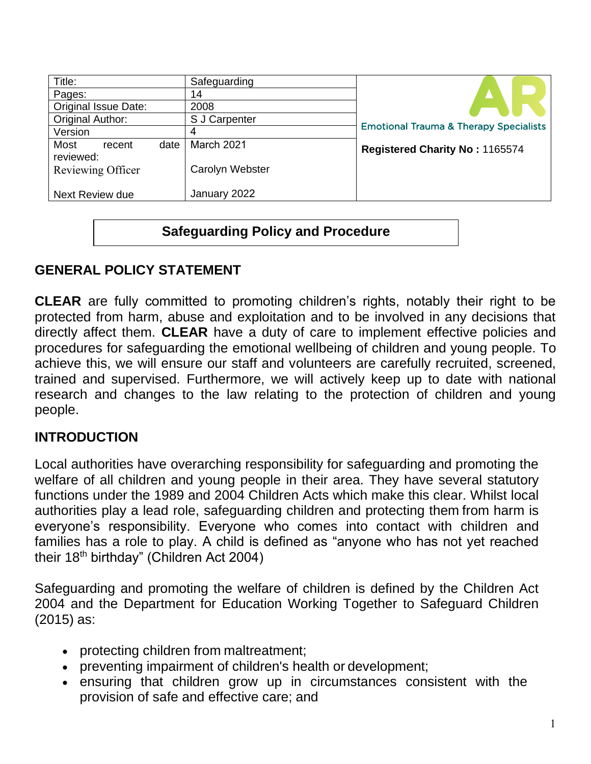| Title:                              | Safeguarding      |                                                   |
|-------------------------------------|-------------------|---------------------------------------------------|
| Pages:                              | 14                |                                                   |
| <b>Original Issue Date:</b>         | 2008              |                                                   |
| Original Author:                    | S J Carpenter     |                                                   |
| Version                             | 4                 | <b>Emotional Trauma &amp; Therapy Specialists</b> |
| Most<br>date<br>recent<br>reviewed: | <b>March 2021</b> | Registered Charity No: 1165574                    |
| Reviewing Officer                   | Carolyn Webster   |                                                   |
| <b>Next Review due</b>              | January 2022      |                                                   |

## **Safeguarding Policy and Procedure**

### **GENERAL POLICY STATEMENT**

**CLEAR** are fully committed to promoting children's rights, notably their right to be protected from harm, abuse and exploitation and to be involved in any decisions that directly affect them. **CLEAR** have a duty of care to implement effective policies and procedures for safeguarding the emotional wellbeing of children and young people. To achieve this, we will ensure our staff and volunteers are carefully recruited, screened, trained and supervised. Furthermore, we will actively keep up to date with national research and changes to the law relating to the protection of children and young people.

### **INTRODUCTION**

Local authorities have overarching responsibility for safeguarding and promoting the welfare of all children and young people in their area. They have several statutory functions under the 1989 and 2004 Children Acts which make this clear. Whilst local authorities play a lead role, safeguarding children and protecting them from harm is everyone's responsibility. Everyone who comes into contact with children and families has a role to play. A child is defined as "anyone who has not yet reached their 18th birthday" (Children Act 2004)

Safeguarding and promoting the welfare of children is defined by the Children Act 2004 and the Department for Education Working Together to Safeguard Children (2015) as:

- protecting children from maltreatment;
- preventing impairment of children's health or development;
- ensuring that children grow up in circumstances consistent with the provision of safe and effective care; and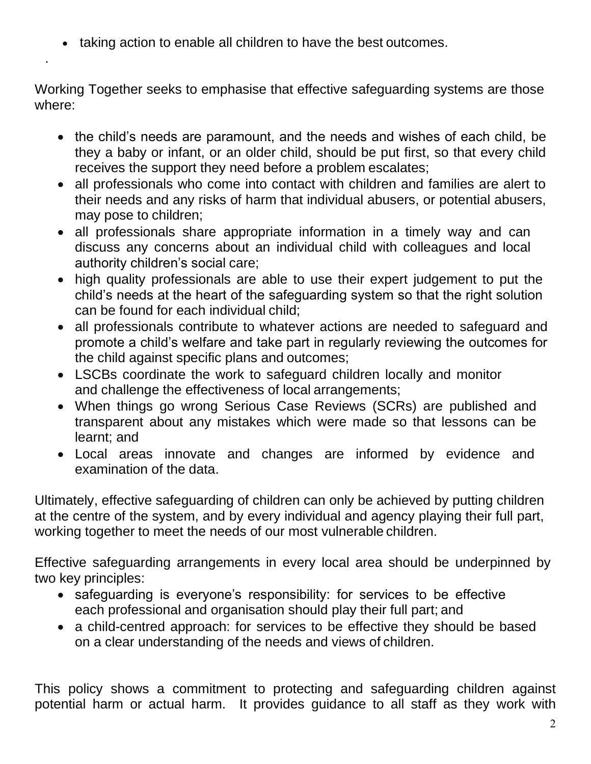• taking action to enable all children to have the best outcomes.

.

Working Together seeks to emphasise that effective safeguarding systems are those where:

- the child's needs are paramount, and the needs and wishes of each child, be they a baby or infant, or an older child, should be put first, so that every child receives the support they need before a problem escalates;
- all professionals who come into contact with children and families are alert to their needs and any risks of harm that individual abusers, or potential abusers, may pose to children;
- all professionals share appropriate information in a timely way and can discuss any concerns about an individual child with colleagues and local authority children's social care;
- high quality professionals are able to use their expert judgement to put the child's needs at the heart of the safeguarding system so that the right solution can be found for each individual child;
- all professionals contribute to whatever actions are needed to safeguard and promote a child's welfare and take part in regularly reviewing the outcomes for the child against specific plans and outcomes;
- LSCBs coordinate the work to safeguard children locally and monitor and challenge the effectiveness of local arrangements;
- When things go wrong Serious Case Reviews (SCRs) are published and transparent about any mistakes which were made so that lessons can be learnt; and
- Local areas innovate and changes are informed by evidence and examination of the data.

Ultimately, effective safeguarding of children can only be achieved by putting children at the centre of the system, and by every individual and agency playing their full part, working together to meet the needs of our most vulnerable children.

Effective safeguarding arrangements in every local area should be underpinned by two key principles:

- safeguarding is everyone's responsibility: for services to be effective each professional and organisation should play their full part; and
- a child-centred approach: for services to be effective they should be based on a clear understanding of the needs and views of children.

This policy shows a commitment to protecting and safeguarding children against potential harm or actual harm. It provides guidance to all staff as they work with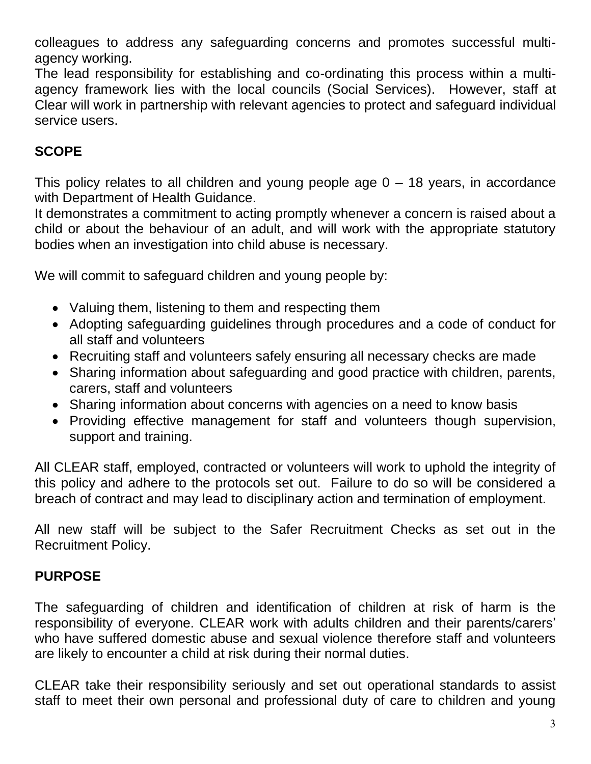colleagues to address any safeguarding concerns and promotes successful multiagency working.

The lead responsibility for establishing and co-ordinating this process within a multiagency framework lies with the local councils (Social Services). However, staff at Clear will work in partnership with relevant agencies to protect and safeguard individual service users.

## **SCOPE**

This policy relates to all children and young people age  $0 - 18$  years, in accordance with Department of Health Guidance.

It demonstrates a commitment to acting promptly whenever a concern is raised about a child or about the behaviour of an adult, and will work with the appropriate statutory bodies when an investigation into child abuse is necessary.

We will commit to safeguard children and young people by:

- Valuing them, listening to them and respecting them
- Adopting safeguarding guidelines through procedures and a code of conduct for all staff and volunteers
- Recruiting staff and volunteers safely ensuring all necessary checks are made
- Sharing information about safeguarding and good practice with children, parents, carers, staff and volunteers
- Sharing information about concerns with agencies on a need to know basis
- Providing effective management for staff and volunteers though supervision, support and training.

All CLEAR staff, employed, contracted or volunteers will work to uphold the integrity of this policy and adhere to the protocols set out. Failure to do so will be considered a breach of contract and may lead to disciplinary action and termination of employment.

All new staff will be subject to the Safer Recruitment Checks as set out in the Recruitment Policy.

## **PURPOSE**

The safeguarding of children and identification of children at risk of harm is the responsibility of everyone. CLEAR work with adults children and their parents/carers' who have suffered domestic abuse and sexual violence therefore staff and volunteers are likely to encounter a child at risk during their normal duties.

CLEAR take their responsibility seriously and set out operational standards to assist staff to meet their own personal and professional duty of care to children and young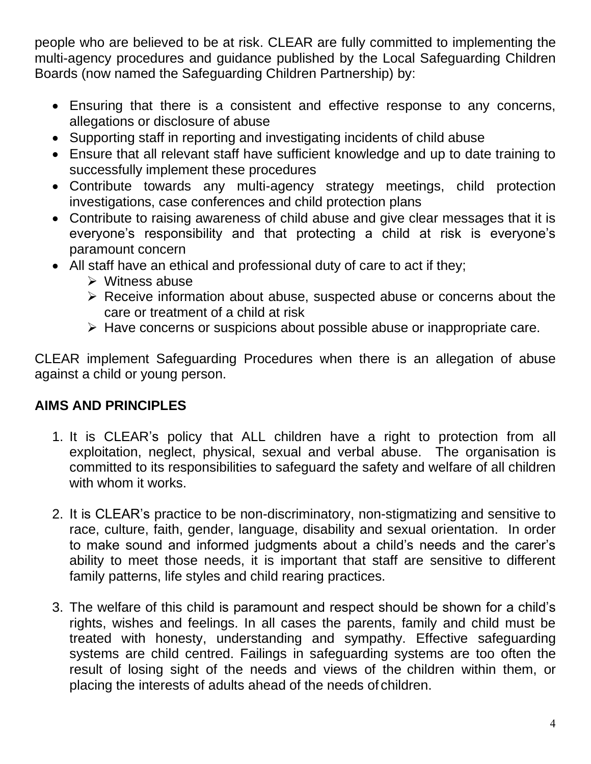people who are believed to be at risk. CLEAR are fully committed to implementing the multi-agency procedures and guidance published by the Local Safeguarding Children Boards (now named the Safeguarding Children Partnership) by:

- Ensuring that there is a consistent and effective response to any concerns, allegations or disclosure of abuse
- Supporting staff in reporting and investigating incidents of child abuse
- Ensure that all relevant staff have sufficient knowledge and up to date training to successfully implement these procedures
- Contribute towards any multi-agency strategy meetings, child protection investigations, case conferences and child protection plans
- Contribute to raising awareness of child abuse and give clear messages that it is everyone's responsibility and that protecting a child at risk is everyone's paramount concern
- All staff have an ethical and professional duty of care to act if they;
	- ➢ Witness abuse
	- ➢ Receive information about abuse, suspected abuse or concerns about the care or treatment of a child at risk
	- ➢ Have concerns or suspicions about possible abuse or inappropriate care.

CLEAR implement Safeguarding Procedures when there is an allegation of abuse against a child or young person.

## **AIMS AND PRINCIPLES**

- 1. It is CLEAR's policy that ALL children have a right to protection from all exploitation, neglect, physical, sexual and verbal abuse. The organisation is committed to its responsibilities to safeguard the safety and welfare of all children with whom it works.
- 2. It is CLEAR's practice to be non-discriminatory, non-stigmatizing and sensitive to race, culture, faith, gender, language, disability and sexual orientation. In order to make sound and informed judgments about a child's needs and the carer's ability to meet those needs, it is important that staff are sensitive to different family patterns, life styles and child rearing practices.
- 3. The welfare of this child is paramount and respect should be shown for a child's rights, wishes and feelings. In all cases the parents, family and child must be treated with honesty, understanding and sympathy. Effective safeguarding systems are child centred. Failings in safeguarding systems are too often the result of losing sight of the needs and views of the children within them, or placing the interests of adults ahead of the needs of children.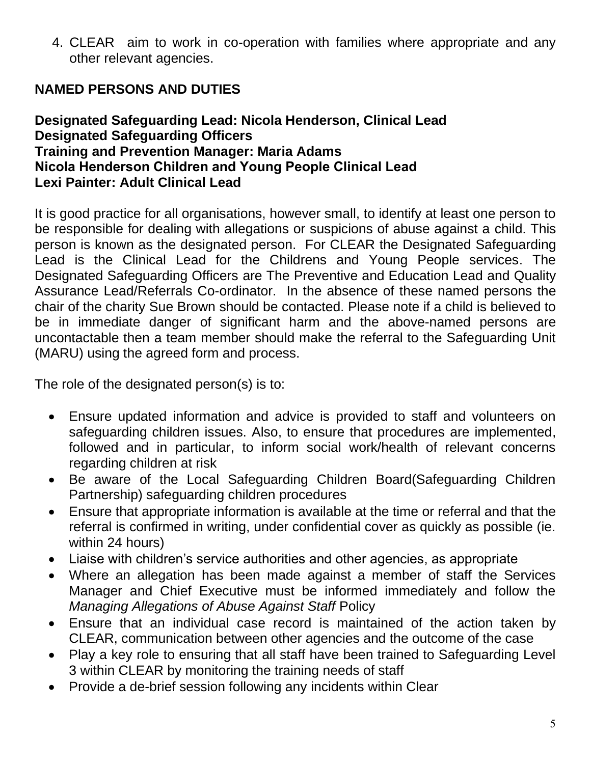4. CLEAR aim to work in co-operation with families where appropriate and any other relevant agencies.

## **NAMED PERSONS AND DUTIES**

#### **Designated Safeguarding Lead: Nicola Henderson, Clinical Lead Designated Safeguarding Officers Training and Prevention Manager: Maria Adams Nicola Henderson Children and Young People Clinical Lead Lexi Painter: Adult Clinical Lead**

It is good practice for all organisations, however small, to identify at least one person to be responsible for dealing with allegations or suspicions of abuse against a child. This person is known as the designated person. For CLEAR the Designated Safeguarding Lead is the Clinical Lead for the Childrens and Young People services. The Designated Safeguarding Officers are The Preventive and Education Lead and Quality Assurance Lead/Referrals Co-ordinator. In the absence of these named persons the chair of the charity Sue Brown should be contacted. Please note if a child is believed to be in immediate danger of significant harm and the above-named persons are uncontactable then a team member should make the referral to the Safeguarding Unit (MARU) using the agreed form and process.

The role of the designated person(s) is to:

- Ensure updated information and advice is provided to staff and volunteers on safeguarding children issues. Also, to ensure that procedures are implemented, followed and in particular, to inform social work/health of relevant concerns regarding children at risk
- Be aware of the Local Safeguarding Children Board(Safeguarding Children Partnership) safeguarding children procedures
- Ensure that appropriate information is available at the time or referral and that the referral is confirmed in writing, under confidential cover as quickly as possible (ie. within 24 hours)
- Liaise with children's service authorities and other agencies, as appropriate
- Where an allegation has been made against a member of staff the Services Manager and Chief Executive must be informed immediately and follow the *Managing Allegations of Abuse Against Staff* Policy
- Ensure that an individual case record is maintained of the action taken by CLEAR, communication between other agencies and the outcome of the case
- Play a key role to ensuring that all staff have been trained to Safeguarding Level 3 within CLEAR by monitoring the training needs of staff
- Provide a de-brief session following any incidents within Clear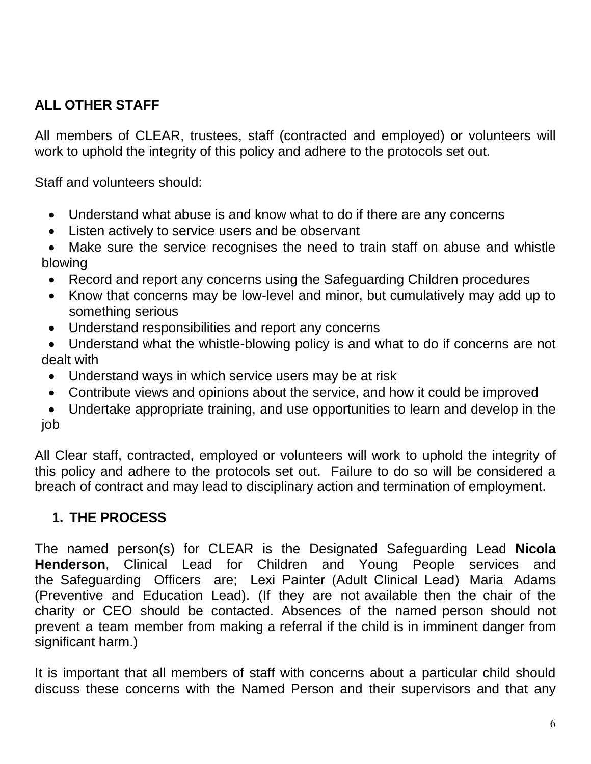## **ALL OTHER STAFF**

All members of CLEAR, trustees, staff (contracted and employed) or volunteers will work to uphold the integrity of this policy and adhere to the protocols set out.

Staff and volunteers should:

- Understand what abuse is and know what to do if there are any concerns
- Listen actively to service users and be observant

• Make sure the service recognises the need to train staff on abuse and whistle blowing

- Record and report any concerns using the Safeguarding Children procedures
- Know that concerns may be low-level and minor, but cumulatively may add up to something serious
- Understand responsibilities and report any concerns
- Understand what the whistle-blowing policy is and what to do if concerns are not dealt with
	- Understand ways in which service users may be at risk
- Contribute views and opinions about the service, and how it could be improved
- Undertake appropriate training, and use opportunities to learn and develop in the job

All Clear staff, contracted, employed or volunteers will work to uphold the integrity of this policy and adhere to the protocols set out. Failure to do so will be considered a breach of contract and may lead to disciplinary action and termination of employment.

## **1. THE PROCESS**

The named person(s) for CLEAR is the Designated Safeguarding Lead **Nicola Henderson**, Clinical Lead for Children and Young People services and the Safeguarding Officers are; Lexi Painter (Adult Clinical Lead) Maria Adams (Preventive and Education Lead). (If they are not available then the chair of the charity or CEO should be contacted. Absences of the named person should not prevent a team member from making a referral if the child is in imminent danger from significant harm.)

It is important that all members of staff with concerns about a particular child should discuss these concerns with the Named Person and their supervisors and that any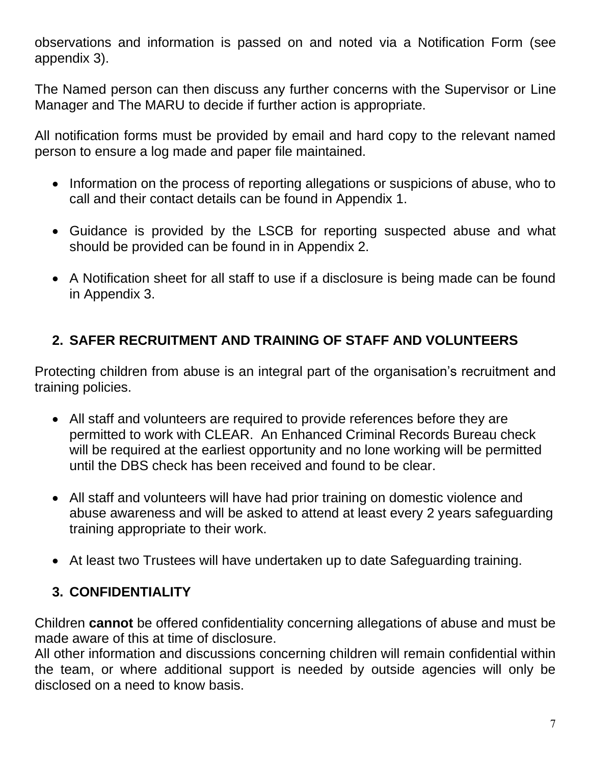observations and information is passed on and noted via a Notification Form (see appendix 3).

The Named person can then discuss any further concerns with the Supervisor or Line Manager and The MARU to decide if further action is appropriate.

All notification forms must be provided by email and hard copy to the relevant named person to ensure a log made and paper file maintained.

- Information on the process of reporting allegations or suspicions of abuse, who to call and their contact details can be found in Appendix 1.
- Guidance is provided by the LSCB for reporting suspected abuse and what should be provided can be found in in Appendix 2.
- A Notification sheet for all staff to use if a disclosure is being made can be found in Appendix 3.

## **2. SAFER RECRUITMENT AND TRAINING OF STAFF AND VOLUNTEERS**

Protecting children from abuse is an integral part of the organisation's recruitment and training policies.

- All staff and volunteers are required to provide references before they are permitted to work with CLEAR. An Enhanced Criminal Records Bureau check will be required at the earliest opportunity and no lone working will be permitted until the DBS check has been received and found to be clear.
- All staff and volunteers will have had prior training on domestic violence and abuse awareness and will be asked to attend at least every 2 years safeguarding training appropriate to their work.
- At least two Trustees will have undertaken up to date Safeguarding training.

## **3. CONFIDENTIALITY**

Children **cannot** be offered confidentiality concerning allegations of abuse and must be made aware of this at time of disclosure.

All other information and discussions concerning children will remain confidential within the team, or where additional support is needed by outside agencies will only be disclosed on a need to know basis.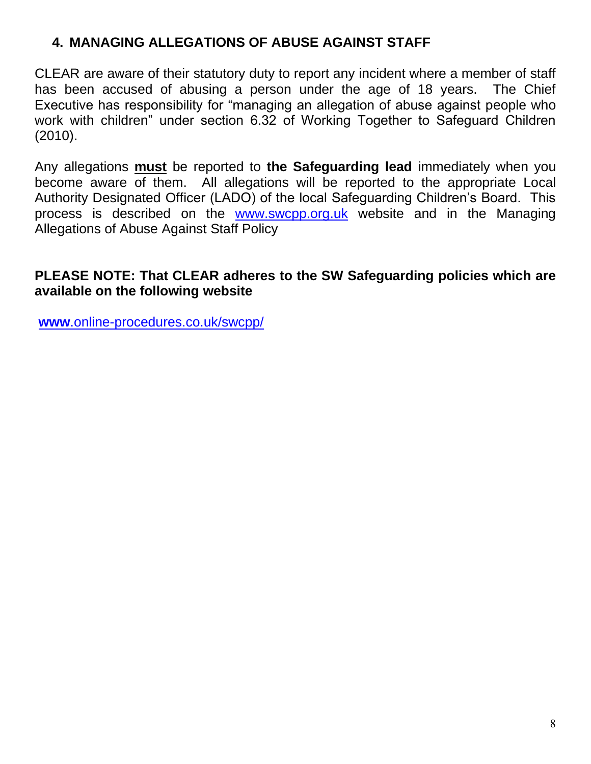### **4. MANAGING ALLEGATIONS OF ABUSE AGAINST STAFF**

CLEAR are aware of their statutory duty to report any incident where a member of staff has been accused of abusing a person under the age of 18 years. The Chief Executive has responsibility for "managing an allegation of abuse against people who work with children" under section 6.32 of Working Together to Safeguard Children (2010).

Any allegations **must** be reported to **the Safeguarding lead** immediately when you become aware of them. All allegations will be reported to the appropriate Local Authority Designated Officer (LADO) of the local Safeguarding Children's Board. This process is described on the [www.swcpp.org.uk](http://www.swcpp.org.uk/) website and in the Managing Allegations of Abuse Against Staff Policy

### **PLEASE NOTE: That CLEAR adheres to the SW Safeguarding policies which are available on the following website**

**www**[.online-procedures.co.uk/swcpp/](http://www.online-procedures.co.uk/swcpp/)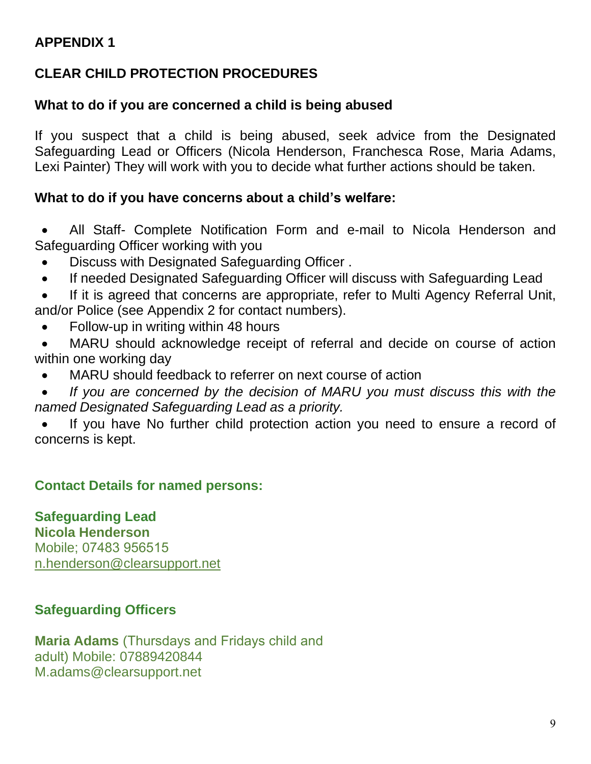### **APPENDIX 1**

## **CLEAR CHILD PROTECTION PROCEDURES**

### **What to do if you are concerned a child is being abused**

If you suspect that a child is being abused, seek advice from the Designated Safeguarding Lead or Officers (Nicola Henderson, Franchesca Rose, Maria Adams, Lexi Painter) They will work with you to decide what further actions should be taken.

### **What to do if you have concerns about a child's welfare:**

• All Staff- Complete Notification Form and e-mail to Nicola Henderson and Safeguarding Officer working with you

- Discuss with Designated Safeguarding Officer .
- If needed Designated Safeguarding Officer will discuss with Safeguarding Lead

• If it is agreed that concerns are appropriate, refer to Multi Agency Referral Unit, and/or Police (see Appendix 2 for contact numbers).

- Follow-up in writing within 48 hours
- MARU should acknowledge receipt of referral and decide on course of action within one working day
	- MARU should feedback to referrer on next course of action

• *If you are concerned by the decision of MARU you must discuss this with the named Designated Safeguarding Lead as a priority.*

• If you have No further child protection action you need to ensure a record of concerns is kept.

### **Contact Details for named persons:**

**Safeguarding Lead Nicola Henderson** Mobile; 07483 956515 [n.henderson@clearsupport.net](mailto:referrals@clearsupport.net)

#### **Safeguarding Officers**

**Maria Adams** (Thursdays and Fridays child and adult) Mobile: 07889420844 [M.adams@clearsupport.net](mailto:M.adams@clearsupport.net)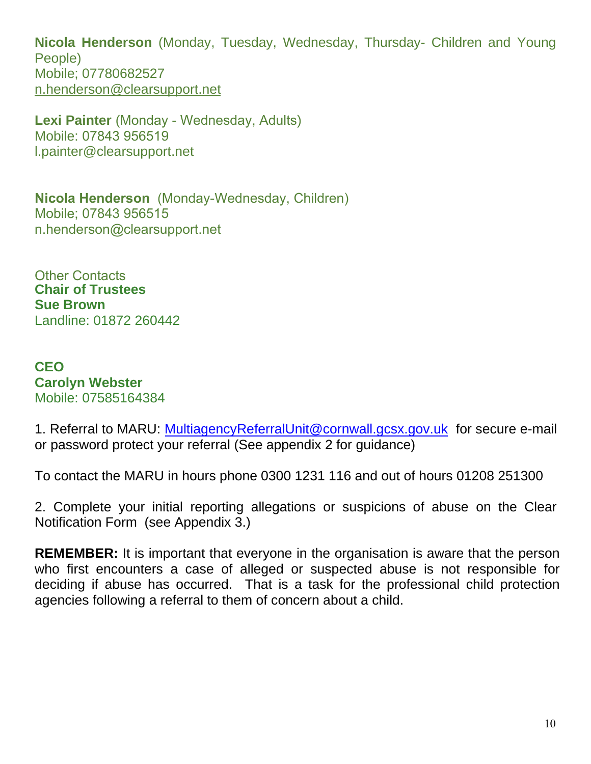**Nicola Henderson** (Monday, Tuesday, Wednesday, Thursday- Children and Young People) Mobile; 07780682527 [n.henderson@clearsupport.net](mailto:referrals@clearsupport.net)

**Lexi Painter** (Monday - Wednesday, Adults) Mobile: 07843 956519 l.painte[r@clearsupport.n](http://clearsupport.net/)et

**Nicola Henderson** (Monday-Wednesday, Children) Mobile; 07843 956515 n.henderson@clearsupport.net

Other Contacts **Chair of Trustees Sue Brown**  Landline: 01872 260442

### **CEO Carolyn Webster**  Mobile: 07585164384

1. Referral to MARU: [MultiagencyReferralUnit@cornwall.gcsx.gov.uk](mailto:MultiagencyReferralUnit@cornwall.gcsx.gov.uk) for secure e-mail or password protect your referral (See appendix 2 for guidance)

To contact the MARU in hours phone 0300 1231 116 and out of hours 01208 251300

2. Complete your initial reporting allegations or suspicions of abuse on the Clear Notification Form (see Appendix 3.)

**REMEMBER:** It is important that everyone in the organisation is aware that the person who first encounters a case of alleged or suspected abuse is not responsible for deciding if abuse has occurred. That is a task for the professional child protection agencies following a referral to them of concern about a child.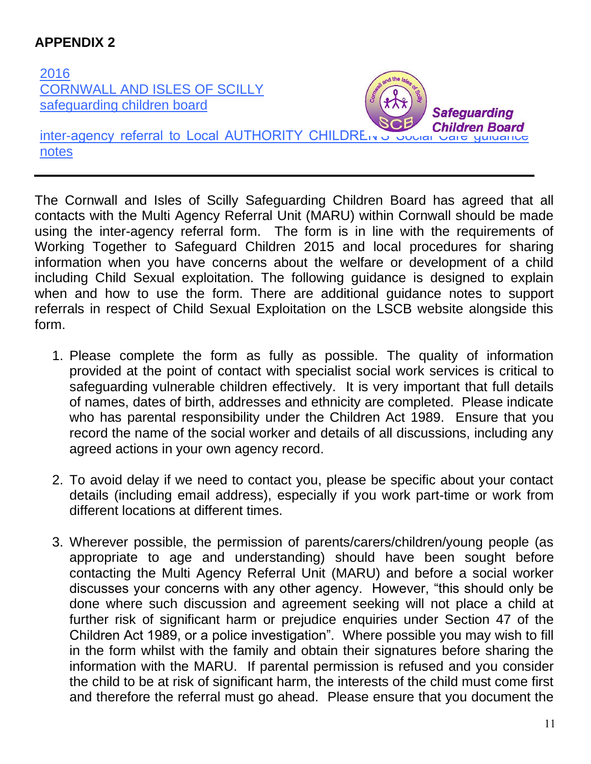## **APPENDIX 2**

# 2016 CORNWALL AND ISLES OF SCILLY safeguarding children board



inter-agency referral to Local AUTHORITY CHILDREN's Social Children Board notes

The Cornwall and Isles of Scilly Safeguarding Children Board has agreed that all contacts with the Multi Agency Referral Unit (MARU) within Cornwall should be made using the inter-agency referral form. The form is in line with the requirements of Working Together to Safeguard Children 2015 and local procedures for sharing information when you have concerns about the welfare or development of a child including Child Sexual exploitation. The following guidance is designed to explain when and how to use the form. There are additional guidance notes to support referrals in respect of Child Sexual Exploitation on the LSCB website alongside this form.

- 1. Please complete the form as fully as possible. The quality of information provided at the point of contact with specialist social work services is critical to safeguarding vulnerable children effectively. It is very important that full details of names, dates of birth, addresses and ethnicity are completed. Please indicate who has parental responsibility under the Children Act 1989. Ensure that you record the name of the social worker and details of all discussions, including any agreed actions in your own agency record.
- 2. To avoid delay if we need to contact you, please be specific about your contact details (including email address), especially if you work part-time or work from different locations at different times.
- 3. Wherever possible, the permission of parents/carers/children/young people (as appropriate to age and understanding) should have been sought before contacting the Multi Agency Referral Unit (MARU) and before a social worker discusses your concerns with any other agency. However, "this should only be done where such discussion and agreement seeking will not place a child at further risk of significant harm or prejudice enquiries under Section 47 of the Children Act 1989, or a police investigation".Where possible you may wish to fill in the form whilst with the family and obtain their signatures before sharing the information with the MARU. If parental permission is refused and you consider the child to be at risk of significant harm, the interests of the child must come first and therefore the referral must go ahead.Please ensure that you document the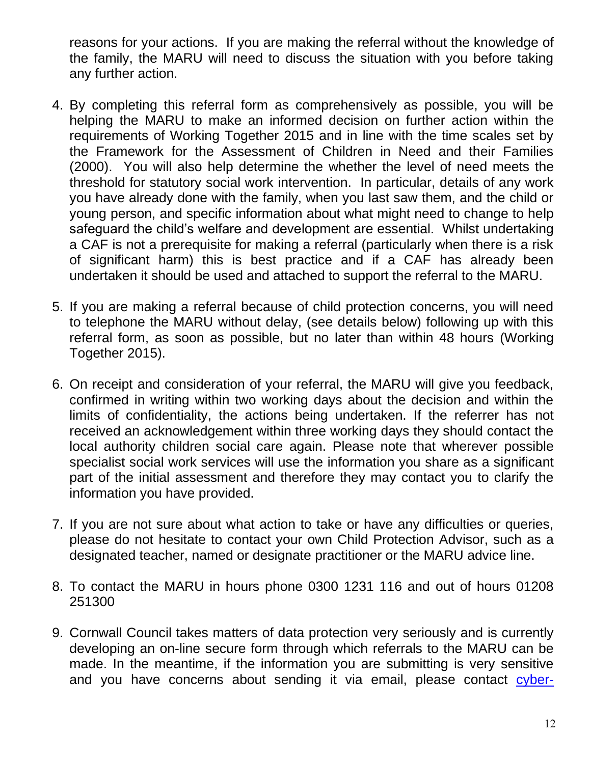reasons for your actions. If you are making the referral without the knowledge of the family, the MARU will need to discuss the situation with you before taking any further action.

- 4. By completing this referral form as comprehensively as possible, you will be helping the MARU to make an informed decision on further action within the requirements of Working Together 2015 and in line with the time scales set by the Framework for the Assessment of Children in Need and their Families (2000). You will also help determine the whether the level of need meets the threshold for statutory social work intervention. In particular, details of any work you have already done with the family, when you last saw them, and the child or young person, and specific information about what might need to change to help safeguard the child's welfare and development are essential. Whilst undertaking a CAF is not a prerequisite for making a referral (particularly when there is a risk of significant harm) this is best practice and if a CAF has already been undertaken it should be used and attached to support the referral to the MARU.
- 5. If you are making a referral because of child protection concerns, you will need to telephone the MARU without delay, (see details below) following up with this referral form, as soon as possible, but no later than within 48 hours (Working Together 2015).
- 6. On receipt and consideration of your referral, the MARU will give you feedback, confirmed in writing within two working days about the decision and within the limits of confidentiality, the actions being undertaken. If the referrer has not received an acknowledgement within three working days they should contact the local authority children social care again. Please note that wherever possible specialist social work services will use the information you share as a significant part of the initial assessment and therefore they may contact you to clarify the information you have provided.
- 7. If you are not sure about what action to take or have any difficulties or queries, please do not hesitate to contact your own Child Protection Advisor, such as a designated teacher, named or designate practitioner or the MARU advice line.
- 8. To contact the MARU in hours phone 0300 1231 116 and out of hours 01208 251300
- 9. Cornwall Council takes matters of data protection very seriously and is currently developing an on-line secure form through which referrals to the MARU can be made. In the meantime, if the information you are submitting is very sensitive and you have concerns about sending it via email, please contact [cyber-](mailto:cyber-safety@cornwall.gov.uk)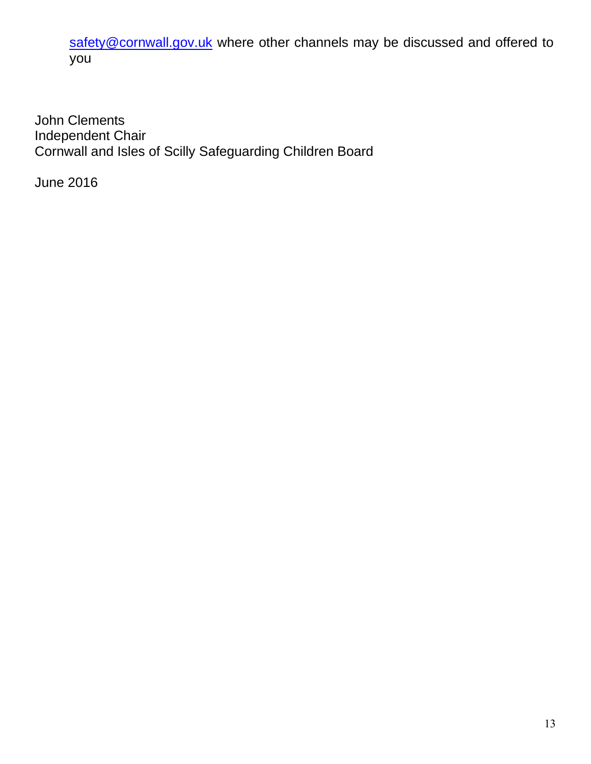[safety@cornwall.gov.uk](mailto:cyber-safety@cornwall.gov.uk) where other channels may be discussed and offered to you

John Clements Independent Chair Cornwall and Isles of Scilly Safeguarding Children Board

June 2016